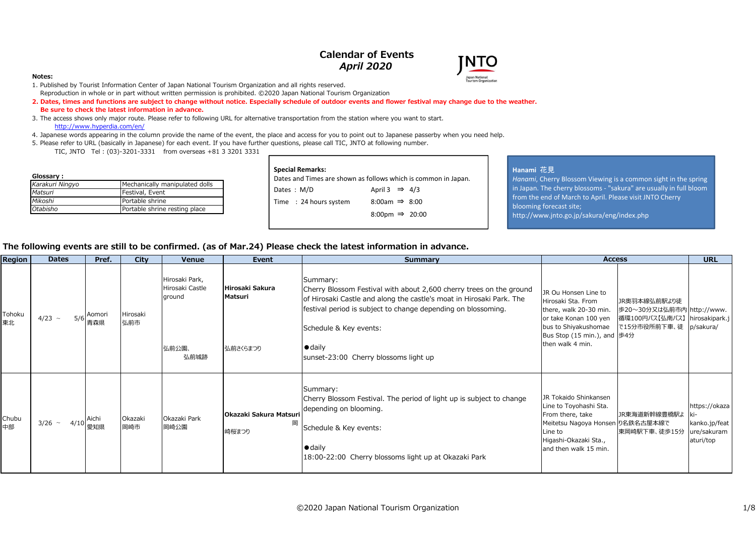# **Calendar of Events***April 2020*



### **Notes:**

- 1. Published by Tourist Information Center of Japan National Tourism Organization and all rights reserved. Reproduction in whole or in part without written permission is prohibited. ©2020 Japan National Tourism Organization
- **2. Dates, times and functions are subject to change without notice. Especially schedule of outdoor events and flower festival may change due to the weather. Be sure to check the latest information in advance.**
- 3. The access shows only major route. Please refer to following URL for alternative transportation from the station where you want to start.http://www.hyperdia.com/en/
- 4. Japanese words appearing in the column provide the name of the event, the place and access for you to point out to Japanese passerby when you need help.
- 5. Please refer to URL (basically in Japanese) for each event. If you have further questions, please call TIC, JNTO at following number.
	- TIC, JNTO Tel : (03)-3201-3331 from overseas +81 3 3201 3331

| Glossary:       |                                |
|-----------------|--------------------------------|
| Karakuri Ningyo | Mechanically manipulated dolls |
| Matsuri         | Festival, Event                |
| Mikoshi         | Portable shrine                |
| Otabisho        | Portable shrine resting place  |

|                        | Dates and Times are shown as follows which is common in Japan. |
|------------------------|----------------------------------------------------------------|
| Dates: M/D             | April 3 $\Rightarrow$ 4/3                                      |
| Time : 24 hours system | $8:00am \Rightarrow 8:00$                                      |
|                        | 8:00pm $\Rightarrow$ 20:00                                     |
|                        |                                                                |

### **Hanami** 花見

 *Hanami*, Cherry Blossom Viewing is a common sight in the spring in Japan. The cherry blossoms - "sakura" are usually in full bloomfrom the end of March to April. Please visit JNTO Cherry blooming forecast site;http://www.jnto.go.jp/sakura/eng/index.php

## **The following events are still to be confirmed. (as of Mar.24) Please check the latest information in advance.**

| Region       | <b>Dates</b>       | Pref.         | City            | Venue                                       | Event                           | <b>Summary</b>                                                                                                                                                                                                           | <b>Access</b>                                                                                                                                                        |                                                                             | <b>URL</b>                                                 |
|--------------|--------------------|---------------|-----------------|---------------------------------------------|---------------------------------|--------------------------------------------------------------------------------------------------------------------------------------------------------------------------------------------------------------------------|----------------------------------------------------------------------------------------------------------------------------------------------------------------------|-----------------------------------------------------------------------------|------------------------------------------------------------|
| Tohoku<br>東北 | $4/23 \sim$<br>5/6 | Aomori<br>青森県 | Hirosaki<br>弘前市 | Hirosaki Park,<br>Hirosaki Castle<br>ground | Hirosaki Sakura<br>Matsuri      | Summary:<br>Cherry Blossom Festival with about 2,600 cherry trees on the ground<br>of Hirosaki Castle and along the castle's moat in Hirosaki Park. The<br>festival period is subject to change depending on blossoming. | JR Ou Honsen Line to<br>Hirosaki Sta, From<br>there, walk 20-30 min.<br>or take Konan 100 yen                                                                        | JR奥羽本線弘前駅より徒<br> 歩20~30分又は弘前市内 http://www.<br>循環100円バス【弘南バス】 hirosakipark.j |                                                            |
|              |                    |               |                 | 弘前公園、<br>弘前城跡                               | 弘前さくらまつり                        | Schedule & Key events:<br>$\bullet$ daily<br>sunset-23:00 Cherry blossoms light up                                                                                                                                       | bus to Shiyakushomae<br>Bus Stop (15 min.), and  歩4分<br>then walk 4 min.                                                                                             | で15分市役所前下車、徒 p/sakura/                                                      |                                                            |
| Chubu<br>中部  | $3/26$ ~<br>4/10   | Aichi<br>愛知県  | Okazaki<br>岡崎市  | Okazaki Park<br>岡崎公園                        | Okazaki Sakura Matsuri<br>崎桜まつり | Summary:<br>Cherry Blossom Festival. The period of light up is subject to change<br>depending on blooming.<br>Schedule & Key events:<br>$\bullet$ daily<br>18:00-22:00 Cherry blossoms light up at Okazaki Park          | JR Tokaido Shinkansen<br>Line to Toyohashi Sta.<br>From there, take<br>Meitetsu Nagoya Honsen り名鉄名古屋本線で<br>Line to<br>Higashi-Okazaki Sta.,<br>and then walk 15 min. | JR東海道新幹線豊橋駅よ<br>東岡崎駅下車、徒歩15分                                                | https://okaza<br>kanko.jp/feat<br>ure/sakuram<br>aturi/top |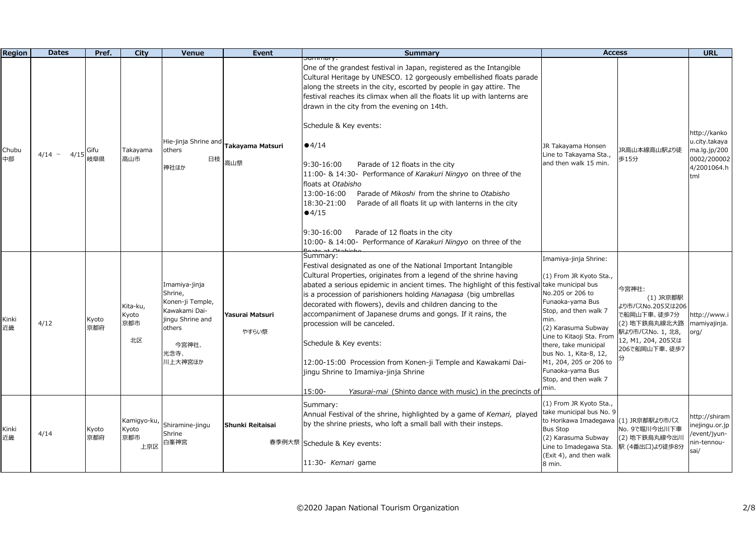| <b>Region</b> | <b>Dates</b>        | Pref.        | City                               | Venue                                                                                                                   | Event                    | <b>Summary</b>                                                                                                                                                                                                                                                                                                                                                                                                                                                                                                                                                                                                                                                                                                                                                                                                        | <b>Access</b>                                                                                                                                                                                                                                                                                           |                                                                                                                                   | <b>URL</b>                                                                         |
|---------------|---------------------|--------------|------------------------------------|-------------------------------------------------------------------------------------------------------------------------|--------------------------|-----------------------------------------------------------------------------------------------------------------------------------------------------------------------------------------------------------------------------------------------------------------------------------------------------------------------------------------------------------------------------------------------------------------------------------------------------------------------------------------------------------------------------------------------------------------------------------------------------------------------------------------------------------------------------------------------------------------------------------------------------------------------------------------------------------------------|---------------------------------------------------------------------------------------------------------------------------------------------------------------------------------------------------------------------------------------------------------------------------------------------------------|-----------------------------------------------------------------------------------------------------------------------------------|------------------------------------------------------------------------------------|
| Chubu<br>中部   | 4/15<br>$4/14 \sim$ | Gifu<br>岐阜県  | Takayama<br>高山市                    | Hie-jinja Shrine and<br>others<br>日枝<br>神社ほか                                                                            | Takayama Matsuri<br>高山祭  | <del>summary.</del><br>One of the grandest festival in Japan, registered as the Intangible<br>Cultural Heritage by UNESCO. 12 gorgeously embellished floats parade<br>along the streets in the city, escorted by people in gay attire. The<br>festival reaches its climax when all the floats lit up with lanterns are<br>drawn in the city from the evening on 14th.<br>Schedule & Key events:<br>•4/14<br>Parade of 12 floats in the city<br>9:30-16:00<br>11:00- & 14:30- Performance of Karakuri Ningyo on three of the<br>floats at Otabisho<br>13:00-16:00<br>Parade of Mikoshi from the shrine to Otabisho<br>18:30-21:00<br>Parade of all floats lit up with lanterns in the city<br>•4/15<br>Parade of 12 floats in the city<br>9:30-16:00<br>10:00- & 14:00- Performance of Karakuri Ningyo on three of the | JR Takayama Honsen<br>Line to Takayama Sta.,<br>and then walk 15 min.                                                                                                                                                                                                                                   | JR高山本線高山駅より徒<br>歩15分                                                                                                              | http://kanko<br>u.city.takaya<br>ma.lg.jp/200<br>0002/200002<br>4/2001064.h<br>tml |
| Kinki<br>近畿   | 4/12                | Kyoto<br>京都府 | Kita-ku,<br>Kyoto<br>京都市<br>北区     | Imamiya-jinja<br>Shrine,<br>Konen-ji Temple,<br>Kawakami Dai-<br>jingu Shrine and<br>others<br>今宮神社、<br>光念寺、<br>川上大神宮ほか | Yasurai Matsuri<br>やすらい祭 | Summary:<br>Festival designated as one of the National Important Intangible<br>Cultural Properties, originates from a legend of the shrine having<br>abated a serious epidemic in ancient times. The highlight of this festival take municipal bus<br>is a procession of parishioners holding Hanagasa (big umbrellas<br>decorated with flowers), devils and children dancing to the<br>accompaniment of Japanese drums and gongs. If it rains, the<br>procession will be canceled.<br>Schedule & Key events:<br>12:00-15:00 Procession from Konen-ji Temple and Kawakami Dai-<br>jingu Shrine to Imamiya-jinja Shrine<br>Yasurai-mai (Shinto dance with music) in the precincts of min.<br>15:00-                                                                                                                    | Imamiya-jinja Shrine:<br>(1) From JR Kyoto Sta.,<br>No.205 or 206 to<br>Funaoka-yama Bus<br>Stop, and then walk 7<br>min.<br>(2) Karasuma Subway<br>Line to Kitaoji Sta. From<br>there, take municipal<br>bus No. 1, Kita-8, 12,<br>M1, 204, 205 or 206 to<br>Funaoka-yama Bus<br>Stop, and then walk 7 | 今宮神社:<br>(1) JR京都駅<br>より市バスNo.205又は206<br>で船岡山下車、徒歩7分<br>(2) 地下鉄烏丸線北大路<br>駅より市バスNo. 1, 北8,<br>12, M1, 204, 205又は<br>206で船岡山下車、徒歩7 | ittp://www.i<br>namiyajinja.<br>$\text{org}/$                                      |
| Kinki<br>近畿   | 4/14                | Kyoto<br>京都府 | Kamigyo-ku,<br>Kyoto<br>京都市<br>上京区 | Shiramine-jingu<br>Shrine<br>白峯神宮                                                                                       | Shunki Reitaisai         | Summary:<br>Annual Festival of the shrine, highlighted by a game of Kemari, played<br>by the shrine priests, who loft a small ball with their insteps.<br>春季例大祭 Schedule & Key events:<br>11:30- Kemari game                                                                                                                                                                                                                                                                                                                                                                                                                                                                                                                                                                                                          | (1) From JR Kyoto Sta.,<br>take municipal bus No. 9<br>to Horikawa Imadegawa<br><b>Bus Stop</b><br>(2) Karasuma Subway<br>Line to Imadegawa Sta.<br>(Exit 4), and then walk<br>8 min.                                                                                                                   | (1) JR京都駅より市バス<br>No. 9で堀川今出川下車<br>(2) 地下鉄烏丸線今出川<br>駅 (4番出口)より徒歩8分                                                                | nttp://shiram<br>nejingu.or.jp<br>/event/jyun-<br>nin-tennou-<br>sai/              |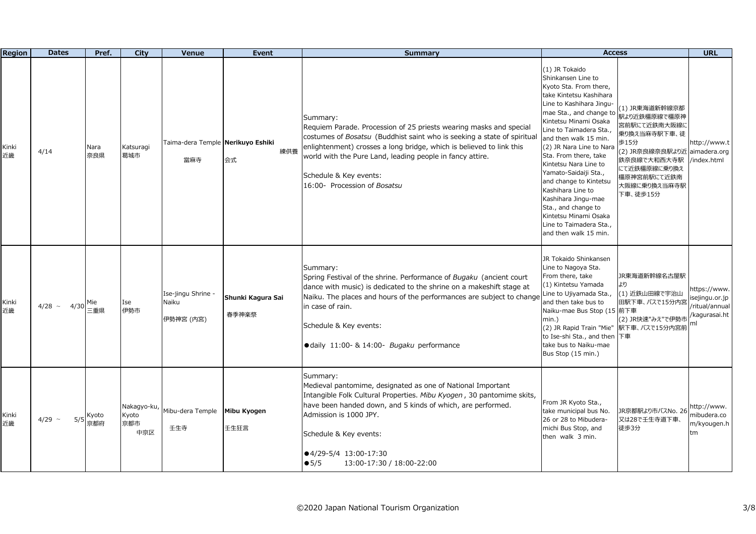| <b>Region</b> | <b>Dates</b>        | Pref.        | <b>City</b>                        | Venue                                    | Event                      | <b>Summary</b>                                                                                                                                                                                                                                                                                                                                           | <b>Access</b>                                                                                                                                                                                                                                                                                                                                                                                                                                                                                                  |                                                                                                                                                                                  | <b>URL</b>                                                     |
|---------------|---------------------|--------------|------------------------------------|------------------------------------------|----------------------------|----------------------------------------------------------------------------------------------------------------------------------------------------------------------------------------------------------------------------------------------------------------------------------------------------------------------------------------------------------|----------------------------------------------------------------------------------------------------------------------------------------------------------------------------------------------------------------------------------------------------------------------------------------------------------------------------------------------------------------------------------------------------------------------------------------------------------------------------------------------------------------|----------------------------------------------------------------------------------------------------------------------------------------------------------------------------------|----------------------------------------------------------------|
| Kinki<br>近畿   | 4/14                | Nara<br>奈良県  | Katsuragi<br>葛城市                   | Taima-dera Temple Nerikuyo Eshiki<br>當麻寺 | 練供養<br>会式                  | Summary:<br>Requiem Parade. Procession of 25 priests wearing masks and special<br>costumes of Bosatsu (Buddhist saint who is seeking a state of spiritual<br>enlightenment) crosses a long bridge, which is believed to link this<br>world with the Pure Land, leading people in fancy attire.<br>Schedule & Key events:<br>16:00- Procession of Bosatsu | (1) JR Tokaido<br>Shinkansen Line to<br>Kyoto Sta. From there,<br>take Kintetsu Kashihara<br>Line to Kashihara Jingu-<br>mae Sta., and change to<br>Kintetsu Minami Osaka<br>Line to Taimadera Sta.,<br>and then walk 15 min.<br>(2) JR Nara Line to Nara<br>Sta. From there, take<br>Kintetsu Nara Line to<br>Yamato-Saidaiji Sta.,<br>and change to Kintetsu<br>Kashihara Line to<br>Kashihara Jingu-mae<br>Sta., and change to<br>Kintetsu Minami Osaka<br>Line to Taimadera Sta.,<br>and then walk 15 min. | (1) JR東海道新幹線京都<br>駅より近鉄橿原線で橿原神<br>宮前駅にて近鉄南大阪線に<br>乗り換え当麻寺駅下車、徒<br>歩15分<br>(2) JR奈良線奈良駅より近 aimadera.org<br>鉄奈良線で大和西大寺駅<br>にて近鉄橿原線に乗り換え<br>橿原神宮前駅にて近鉄南<br>大阪線に乗り換え当麻寺駅<br>下車、徒歩15分 | http://www.t<br>index.html                                     |
| Kinki<br>近畿   | 4/28 $\sim$<br>4/30 | Mie<br>三重県   | Ise<br>伊勢市                         | Ise-jingu Shrine -<br>Naiku<br>伊勢神宮 (内宮) | Shunki Kagura Sai<br>春季神楽祭 | Summary:<br>Spring Festival of the shrine. Performance of Bugaku (ancient court<br>dance with music) is dedicated to the shrine on a makeshift stage at<br>Naiku. The places and hours of the performances are subject to change Line to Ujiyamada Sta.,<br>in case of rain.<br>Schedule & Key events:<br>· daily 11:00- & 14:00- Bugaku performance     | JR Tokaido Shinkansen<br>Line to Nagoya Sta.<br>From there, take<br>(1) Kintetsu Yamada<br>and then take bus to<br>Naiku-mae Bus Stop (15 前下車<br>$min.$ )<br>(2) JR Rapid Train "Mie"<br>to Ise-shi Sta., and then 下車<br>take bus to Naiku-mae<br>Bus Stop (15 min.)                                                                                                                                                                                                                                           | JR東海道新幹線名古屋駅<br>より<br>(1) 近鉄山田線で宇治山<br>田駅下車、バスで15分内宮<br>(2) JR快速"みえ"で伊勢市<br>駅下車、バスで15分内宮前                                                                                        | https://www.<br>sejingu.or.jp<br>ritual/annual<br>kagurasai.ht |
| Kinki<br>近畿   | 4/29 $\sim$<br>5/5  | Kyoto<br>京都府 | Nakagyo-ku,<br>Kyoto<br>京都市<br>中京区 | Mibu-dera Temple<br>壬生寺                  | Mibu Kyogen<br>壬生狂言        | Summary:<br>Medieval pantomime, designated as one of National Important<br>Intangible Folk Cultural Properties. Mibu Kyogen, 30 pantomime skits,<br>have been handed down, and 5 kinds of which, are performed.<br>Admission is 1000 JPY.<br>Schedule & Key events:<br>●4/29-5/4 13:00-17:30<br>$\bullet$ 5/5<br>13:00-17:30 / 18:00-22:00               | From JR Kyoto Sta.,<br>take municipal bus No.<br>26 or 28 to Mibudera-<br>michi Bus Stop, and<br>then walk 3 min.                                                                                                                                                                                                                                                                                                                                                                                              | JR京都駅より市バスNo. 26<br>又は28で壬生寺道下車、<br>徒歩3分                                                                                                                                         | http://www.<br>nibudera.co<br>m/kyougen.h<br>tm                |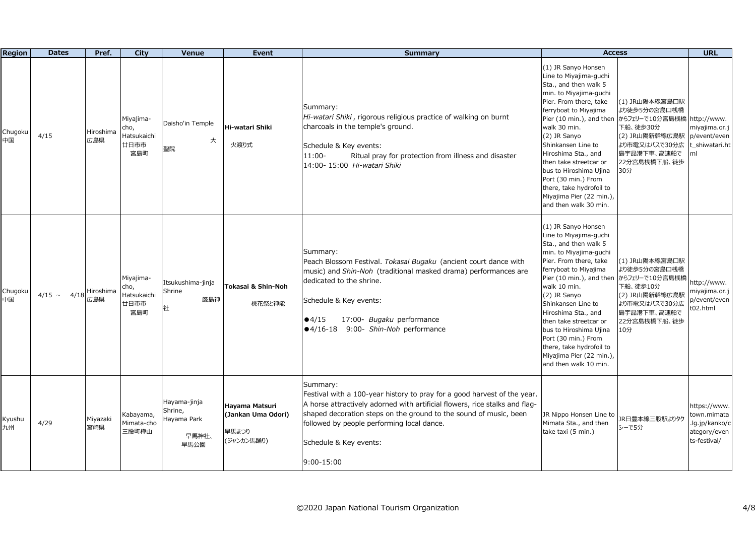| <b>Region</b> | <b>Dates</b>     | Pref.            | City                                            | Venue                                                   | Event                                                       | <b>Summary</b>                                                                                                                                                                                                                                                                                                                 | <b>Access</b>                                                                                                                                                                                                                                                                                                                                                                                                            |                                                                                                                                        | <b>URL</b>                                                                    |
|---------------|------------------|------------------|-------------------------------------------------|---------------------------------------------------------|-------------------------------------------------------------|--------------------------------------------------------------------------------------------------------------------------------------------------------------------------------------------------------------------------------------------------------------------------------------------------------------------------------|--------------------------------------------------------------------------------------------------------------------------------------------------------------------------------------------------------------------------------------------------------------------------------------------------------------------------------------------------------------------------------------------------------------------------|----------------------------------------------------------------------------------------------------------------------------------------|-------------------------------------------------------------------------------|
| Chugoku<br>中国 | 4/15             | Hiroshima<br>広島県 | Miyajima-<br>cho,<br>Hatsukaichi<br>廿日市市<br>宮島町 | Daisho'in Temple<br>大<br>聖院                             | Hi-watari Shiki<br>火渡り式                                     | Summary:<br>Hi-watari Shiki, rigorous religious practice of walking on burnt<br>charcoals in the temple's ground.<br>Schedule & Key events:<br>11:00-<br>Ritual pray for protection from illness and disaster<br>14:00- 15:00 Hi-watari Shiki                                                                                  | (1) JR Sanyo Honsen<br>Line to Miyajima-guchi<br>Sta., and then walk 5<br>min. to Miyajima-guchi<br>Pier. From there, take<br>ferryboat to Miyajima<br>Pier (10 min.), and then<br>walk 30 min.<br>(2) JR Sanyo<br>Shinkansen Line to<br>Hiroshima Sta., and<br>then take streetcar or<br>bus to Hiroshima Ujina<br>Port (30 min.) From<br>there, take hydrofoil to<br>Miyajima Pier (22 min.)<br>and then walk 30 min.  | (1) JR山陽本線宮島口駅<br>より徒歩5分の宮島口桟橋<br>からフェリーで10分宮島桟橋 <br>下船、徒歩30分<br>(2) JR山陽新幹線広島駅<br>より市電又はバスで30分広<br>島宇品港下車、高速船で<br>22分宮島桟橋下船、徒歩<br>30分 | http://www.<br>miyajima.or.j<br>p/event/even<br>shiwatari.ht<br>ml            |
| Chugoku<br>中国 | $4/15$ ~<br>4/18 | Hiroshima<br>広島県 | Miyajima-<br>cho,<br>Hatsukaichi<br>廿日市市<br>宮島町 | Itsukushima-jinja<br>Shrine<br>厳島神<br>社                 | Tokasai & Shin-Noh<br>桃花祭と神能                                | Summary:<br>Peach Blossom Festival. Tokasai Bugaku (ancient court dance with<br>music) and Shin-Noh (traditional masked drama) performances are<br>dedicated to the shrine.<br>Schedule & Key events:<br>17:00- Bugaku performance<br>•4/15<br>●4/16-18 9:00- Shin-Noh performance                                             | (1) JR Sanyo Honsen<br>Line to Miyajima-guchi<br>Sta., and then walk 5<br>min. to Miyajima-guchi<br>Pier. From there, take<br>ferryboat to Miyajima<br>Pier (10 min.), and then<br>walk 10 min.<br>(2) JR Sanyo<br>Shinkansen Line to<br>Hiroshima Sta., and<br>then take streetcar or<br>bus to Hiroshima Ujina<br>Port (30 min.) From<br>there, take hydrofoil to<br>Miyajima Pier (22 min.),<br>and then walk 10 min. | (1) JR山陽本線宮島口駅<br>より徒歩5分の宮島口桟橋<br>からフェリーで10分宮島桟橋<br>下船、徒歩10分<br>(2) JR山陽新幹線広島駅<br>より市電又はバスで30分広<br>島宇品港下車、高速船で<br>22分宮島桟橋下船、徒歩<br>10分  | http://www.<br>miyajima.or.j<br>p/event/even<br>t02.html                      |
| Kyushu<br>九州  | 4/29             | Miyazaki<br>宮崎県  | Kabayama,<br>Mimata-cho<br>三股町樺山                | Hayama-jinja<br>Shrine,<br>Hayama Park<br>早馬神社、<br>早馬公園 | Hayama Matsuri<br>(Jankan Uma Odori)<br>早馬まつり<br>(ジャンカン馬踊り) | Summary:<br>Festival with a 100-year history to pray for a good harvest of the year.<br>A horse attractively adorned with artificial flowers, rice stalks and flag-<br>shaped decoration steps on the ground to the sound of music, been<br>followed by people performing local dance.<br>Schedule & Key events:<br>9:00-15:00 | JR Nippo Honsen Line to<br>Mimata Sta., and then<br>take taxi (5 min.)                                                                                                                                                                                                                                                                                                                                                   | JR日豊本線三股駅よりタク<br>シーで5分                                                                                                                 | https://www.<br>town.mimata<br>.lg.jp/kanko/c<br>ategory/even<br>ts-festival/ |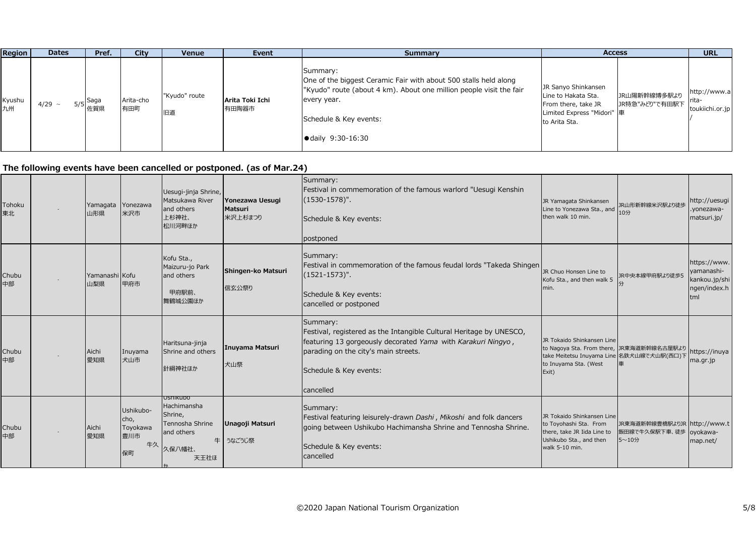| <b>Region</b> | <b>Dates</b> | Pref.                         | <b>City</b>      | <b>Venue</b>        | Event                    | Summary                                                                                                                                                                                                                    | <b>Access</b>                                                                                                                                        | <b>URL</b>                      |
|---------------|--------------|-------------------------------|------------------|---------------------|--------------------------|----------------------------------------------------------------------------------------------------------------------------------------------------------------------------------------------------------------------------|------------------------------------------------------------------------------------------------------------------------------------------------------|---------------------------------|
| Kyushu<br>九州  | $4/29$ ~     | . Saga<br>5/5 <i> </i><br>佐賀県 | Arita-cho<br>有田町 | "Kyudo" route<br>旧道 | Arita Toki Ichi<br>有田陶器市 | Summary:<br>One of the biggest Ceramic Fair with about 500 stalls held along<br>"Kyudo" route (about 4 km). About one million people visit the fair<br>every year.<br>Schedule & Key events:<br>$\bullet$ daily 9:30-16:30 | JR Sanyo Shinkansen<br>JR山陽新幹線博多駅より<br>Line to Hakata Sta.<br>JR特急"みどり"で有田駅下  <br>From there, take JR<br>Limited Express "Midori" 車<br>to Arita Sta. | http://www.a<br>toukiichi.or.jp |

**The following events have been cancelled or postponed. (as of Mar.24)**

| Tohoku<br>東北 | Yamagata Yonezawa<br>山形県 | 米沢市                                              | Uesugi-jinja Shrine,<br>Matsukawa River<br>and others<br>上杉神社、<br>松川河畔ほか              | Yonezawa Uesugi<br>Matsuri<br>米沢上杉まつり | Summary:<br>Festival in commemoration of the famous warlord "Uesugi Kenshin<br>$(1530-1578)$ ".<br>Schedule & Key events:<br>postponed                                                                                         | JR Yamagata Shinkansen<br>Line to Yonezawa Sta., and<br>then walk 10 min.                                                                              | JR山形新幹線米沢駅より徒歩<br>10分                     | http://uesugi<br>.yonezawa-<br>matsuri.jp/                         |
|--------------|--------------------------|--------------------------------------------------|---------------------------------------------------------------------------------------|---------------------------------------|--------------------------------------------------------------------------------------------------------------------------------------------------------------------------------------------------------------------------------|--------------------------------------------------------------------------------------------------------------------------------------------------------|-------------------------------------------|--------------------------------------------------------------------|
| Chubu<br>中部  | Yamanashi Kofu<br>山梨県    | 甲府市                                              | Kofu Sta.,<br>Maizuru-jo Park<br>and others<br>甲府駅前、<br>舞鶴城公園ほか                       | Shingen-ko Matsuri<br>信玄公祭り           | Summary:<br>Festival in commemoration of the famous feudal lords "Takeda Shingen<br>$(1521 - 1573)$ ".<br>Schedule & Key events:<br>cancelled or postponed                                                                     | JR Chuo Honsen Line to<br>Kofu Sta., and then walk 5<br>min.                                                                                           | JR中央本線甲府駅より徒歩5                            | https://www.<br>yamanashi-<br>kankou.jp/shi<br>ngen/index.h<br>tml |
| Chubu<br>中部  | Aichi<br>愛知県             | Inuyama<br>犬山市                                   | Haritsuna-jinja<br>Shrine and others<br>針綱神社ほか                                        | Inuyama Matsuri<br>犬山祭                | Summary:<br>Festival, registered as the Intangible Cultural Heritage by UNESCO,<br>featuring 13 gorgeously decorated Yama with Karakuri Ningyo,<br>parading on the city's main streets.<br>Schedule & Key events:<br>cancelled | JR Tokaido Shinkansen Line<br>to Nagoya Sta. From there, JR東海道新幹線名古屋駅より<br>take Meitetsu Inuyama Line 名鉄犬山線で犬山駅(西口)下<br>to Inuyama Sta. (West<br>Exit) |                                           | https://inuya<br>ma.gr.jp                                          |
| Chubu<br>中部  | Aichi<br>愛知県             | Ushikubo-<br>cho,<br>Toyokawa<br>豊川市<br>牛久<br>保町 | USNIKUDO<br>Hachimansha<br>Shrine,<br>Tennosha Shrine<br>and others<br>久保八幡社、<br>天王社ほ | Unagoji Matsuri<br>牛うなごうじ祭            | Summary:<br>Festival featuring leisurely-drawn Dashi, Mikoshi and folk dancers<br>going between Ushikubo Hachimansha Shrine and Tennosha Shrine.<br>Schedule & Key events:<br>cancelled                                        | JR Tokaido Shinkansen Line<br>to Toyohashi Sta. From<br>there, take JR Iida Line to<br>Ushikubo Sta., and then<br>walk 5-10 min.                       | JR東海道新幹線豊橋駅よりJR<br>飯田線で牛久保駅下車、徒歩<br>5~10分 | http://www.t<br>oyokawa-<br>map.net/                               |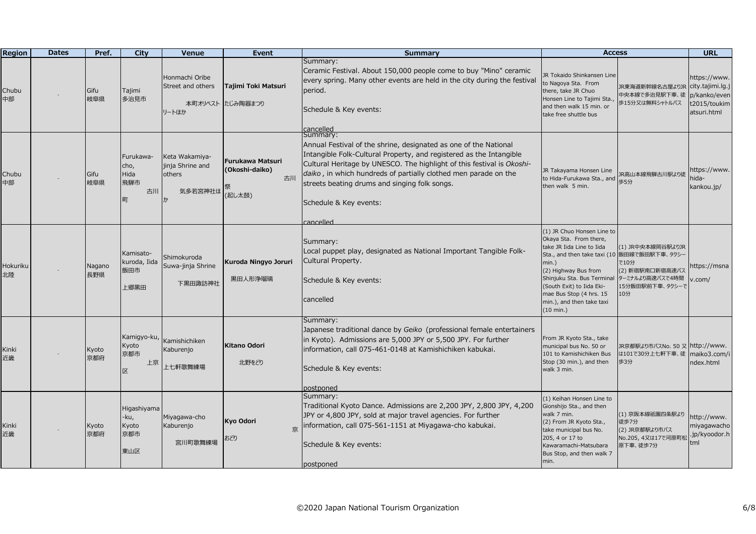| <b>Region</b>  | <b>Dates</b> | Pref.         | City                                        | <b>Venue</b>                                            | Event                                              | <b>Summary</b>                                                                                                                                                                                                                                                                                                                                                                           | <b>Access</b>                                                                                                                                                                                                                                                                                        |                                                                                           | <b>URL</b>                                                                      |
|----------------|--------------|---------------|---------------------------------------------|---------------------------------------------------------|----------------------------------------------------|------------------------------------------------------------------------------------------------------------------------------------------------------------------------------------------------------------------------------------------------------------------------------------------------------------------------------------------------------------------------------------------|------------------------------------------------------------------------------------------------------------------------------------------------------------------------------------------------------------------------------------------------------------------------------------------------------|-------------------------------------------------------------------------------------------|---------------------------------------------------------------------------------|
| Chubu<br>中部    |              | Gifu<br>岐阜県   | Tajimi<br>多治見市                              | Honmachi Oribe<br>Street and others<br>本町オリベスト<br>リートほか | Tajimi Toki Matsuri<br>たじみ陶器まつり                    | Summary:<br>Ceramic Festival. About 150,000 people come to buy "Mino" ceramic<br>every spring. Many other events are held in the city during the festival<br>period.<br>Schedule & Key events:<br>cancelled                                                                                                                                                                              | JR Tokaido Shinkansen Line<br>to Nagoya Sta. From<br>there, take JR Chuo<br>Honsen Line to Tajimi Sta.,<br>and then walk 15 min. or<br>take free shuttle bus                                                                                                                                         | JR東海道新幹線名古屋よりJR<br>中央本線で多治見駅下車、徒<br>歩15分又は無料シャトルバス                                        | https://www.<br>city.tajimi.lg.j<br>p/kanko/even<br>t2015/toukim<br>atsuri.html |
| Chubu<br>中部    |              | Gifu<br>岐阜県   | Furukawa-<br>cho,<br>Hida<br>飛騨市<br>古川<br>町 | Keta Wakamiya-<br>jinja Shrine and<br>others<br>気多若宮神社ほ | Furukawa Matsuri<br>(Okoshi-daiko)<br>古川<br>(起し太鼓) | Summary:<br>Annual Festival of the shrine, designated as one of the National<br>Intangible Folk-Cultural Property, and registered as the Intangible<br>Cultural Heritage by UNESCO. The highlight of this festival is Okoshi-<br>daiko, in which hundreds of partially clothed men parade on the<br>streets beating drums and singing folk songs.<br>Schedule & Key events:<br>cancelled | JR Takayama Honsen Line<br>to Hida-Furukawa Sta., and<br>then walk 5 min.                                                                                                                                                                                                                            | JR高山本線飛騨古川駅より徒<br>歩5分                                                                     | https://www.<br>nida-<br>kankou.jp/                                             |
| Hokuriku<br>北陸 |              | Nagano<br>長野県 | Kamisato-<br>kuroda, Iida<br>飯田市<br>上郷黒田    | Shimokuroda<br>Suwa-jinja Shrine<br>下黒田諏訪神社             | Kuroda Ningyo Joruri<br>黒田人形浄瑠璃                    | Summary:<br>Local puppet play, designated as National Important Tangible Folk-<br>Cultural Property.<br>Schedule & Key events:<br>cancelled                                                                                                                                                                                                                                              | (1) JR Chuo Honsen Line to<br>Okaya Sta. From there,<br>take JR Iida Line to Iida<br>Sta., and then take taxi (10 飯田線で飯田駅下車、タクシー<br>$min.$ )<br>(2) Highway Bus from<br>Shinjuku Sta. Bus Terminal<br>(South Exit) to Iida Eki-<br>mae Bus Stop (4 hrs. 15<br>min.), and then take taxi<br>(10 min.) | (1) JR中央本線岡谷駅よりJR<br>で10分<br>(2) 新宿駅南口新宿高速バス<br>ターミナルより高速バスで4時間<br>15分飯田駅前下車、タクシーで<br>10分 | https://msna<br>$v$ .com/                                                       |
| Kinki<br>近畿    |              | Kyoto<br>京都府  | Kamigyo-ku,<br>Kyoto<br>京都市<br>上京<br>区      | Kamishichiken<br>Kaburenjo<br>上七軒歌舞練場                   | Kitano Odori<br>北野をどり                              | Summary:<br>Japanese traditional dance by Geiko (professional female entertainers<br>in Kyoto). Admissions are 5,000 JPY or 5,500 JPY. For further<br>information, call 075-461-0148 at Kamishichiken kabukai.<br>Schedule & Key events:<br>postponed                                                                                                                                    | From JR Kyoto Sta., take<br>municipal bus No. 50 or<br>101 to Kamishichiken Bus<br>Stop (30 min.), and then<br>walk 3 min.                                                                                                                                                                           | JR京都駅より市バスNo. 50 又 http://www.<br>は101で30分上七軒下車、徒<br>歩3分                                  | maiko3.com/i<br>ndex.html                                                       |
| Kinki<br>近畿    |              | Kyoto<br>京都府  | Higashiyama<br>-ku,<br>Kyoto<br>京都市<br>東山区  | Miyagawa-cho<br>Kaburenjo<br>宮川町歌舞練場                    | Kyo Odori<br>京<br>おどり                              | Summary:<br>Traditional Kyoto Dance. Admissions are 2,200 JPY, 2,800 JPY, 4,200<br>JPY or 4,800 JPY, sold at major travel agencies. For further<br>information, call 075-561-1151 at Miyagawa-cho kabukai.<br>Schedule & Key events:<br>postponed                                                                                                                                        | (1) Keihan Honsen Line to<br>Gionshijo Sta., and then<br>walk 7 min.<br>(2) From JR Kyoto Sta.,<br>take municipal bus No.<br>205, 4 or 17 to<br>Kawaramachi-Matsubara<br>Bus Stop, and then walk 7<br>min.                                                                                           | (1) 京阪本線祇園四条駅より<br>徒歩7分<br>(2) JR京都駅より市バス<br>No.205, 4又は17で河原町枚<br>原下車、徒歩7分               | http://www.<br>miyagawacho<br>.jp/kyoodor.h<br>tml                              |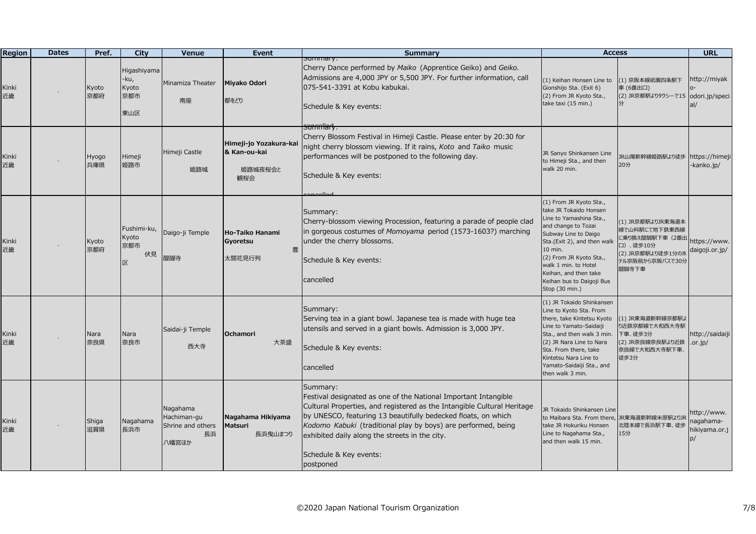| <b>Region</b> | <b>Dates</b> | Pref.        | City                                         | <b>Venue</b>                                                | Event                                                    | Summary                                                                                                                                                                                                                                                                                                                                                                           | <b>Access</b>                                                                                                                                                                                                                                                                                    |                                                                                                                    | <b>URL</b>                               |
|---------------|--------------|--------------|----------------------------------------------|-------------------------------------------------------------|----------------------------------------------------------|-----------------------------------------------------------------------------------------------------------------------------------------------------------------------------------------------------------------------------------------------------------------------------------------------------------------------------------------------------------------------------------|--------------------------------------------------------------------------------------------------------------------------------------------------------------------------------------------------------------------------------------------------------------------------------------------------|--------------------------------------------------------------------------------------------------------------------|------------------------------------------|
| Kinki<br>近畿   |              | Kyoto<br>京都府 | Higashiyama<br>$-ku,$<br>Kyoto<br>京都市<br>東山区 | Minamiza Theater<br>南座                                      | Miyako Odori<br>都をどり                                     | <del>Summary:</del><br>Cherry Dance performed by Maiko (Apprentice Geiko) and Geiko.<br>Admissions are 4,000 JPY or 5,500 JPY. For further information, call<br>075-541-3391 at Kobu kabukai.<br>Schedule & Key events:                                                                                                                                                           | (1) Keihan Honsen Line to<br>Gionshijo Sta. (Exit 6)<br>(2) From JR Kyoto Sta.,<br>take taxi (15 min.)                                                                                                                                                                                           | (1) 京阪本線祇園四条駅下<br>車 (6番出口)<br>(2) JR京都駅よりタクシーで15 odori.jp/speci                                                    | http://miyak<br>al/                      |
| Kinki<br>近畿   |              | Hyogo<br>兵庫県 | Himeji<br>姫路市                                | Himeji Castle<br>姫路城                                        | Himeji-jo Yozakura-kai<br>& Kan-ou-kai<br>姫路城夜桜会と<br>観桜会 | sammlary:<br>Cherry Blossom Festival in Himeji Castle. Please enter by 20:30 for<br>night cherry blossom viewing. If it rains, Koto and Taiko music<br>performances will be postponed to the following day.<br>Schedule & Key events:<br>اممالمممر                                                                                                                                | JR Sanyo Shinkansen Line<br>to Himeji Sta., and then<br>walk 20 min.                                                                                                                                                                                                                             | JR山陽新幹線姫路駅より徒歩<br>20分                                                                                              | https://himeji<br>-kanko.jp/             |
| Kinki<br>近畿   |              | Kyoto<br>京都府 | Fushimi-ku,<br>Kyoto<br>京都市<br>伏見<br>区       | Daigo-ji Temple<br>醍醐寺                                      | Ho-Taiko Hanami<br>Gyoretsu<br>豊<br>太閤花見行列               | Summary:<br>Cherry-blossom viewing Procession, featuring a parade of people clad<br>in gorgeous costumes of Momoyama period (1573-1603?) marching<br>under the cherry blossoms.<br>Schedule & Key events:<br>cancelled                                                                                                                                                            | (1) From JR Kyoto Sta.,<br>take JR Tokaido Honsen<br>Line to Yamashina Sta.,<br>and change to Tozai<br>Subway Line to Daigo<br>Sta.(Exit 2), and then walk<br>10 min.<br>(2) From JR Kyoto Sta.,<br>walk 1 min. to Hotel<br>Keihan, and then take<br>Keihan bus to Daigoji Bus<br>Stop (30 min.) | (1) JR京都駅よりJR東海道本<br>線で山科駅にて地下鉄東西線<br>に乗り換え醍醐駅下車 (2番出<br>口)、徒歩10分<br>(2) JR京都駅より徒歩1分のホ<br>テル京阪前から京阪バスで30分<br>醍醐寺下車 | https://www.<br>daigoji.or.jp/           |
| Kinki<br>近畿   |              | Nara<br>奈良県  | Nara<br>奈良市                                  | Saidai-ji Temple<br>西大寺                                     | <b>Ochamori</b><br>大茶盛                                   | Summary:<br>Serving tea in a giant bowl. Japanese tea is made with huge tea<br>utensils and served in a giant bowls. Admission is 3,000 JPY.<br>Schedule & Key events:<br>cancelled                                                                                                                                                                                               | (1) JR Tokaido Shinkansen<br>Line to Kyoto Sta. From<br>there, take Kintetsu Kyoto<br>Line to Yamato-Saidaiji<br>Sta., and then walk 3 min.<br>(2) JR Nara Line to Nara<br>Sta. From there, take<br>Kintetsu Nara Line to<br>Yamato-Saidaiji Sta., and<br>then walk 3 min.                       | (1) JR東海道新幹線京都駅よ<br>り近鉄京都線で大和西大寺駅<br>下車、徒歩3分<br>(2) JR奈良線奈良駅より近鉄<br>奈良線で大和西大寺駅下車、<br>徒歩3分                          | http://saidaiji<br>.or.jp/               |
| Kinki<br>近畿   |              | Shiga<br>滋賀県 | Nagahama<br>長浜市                              | Nagahama<br>Hachiman-gu<br>Shrine and others<br>長浜<br>八幡宮ほか | Nagahama Hikiyama<br>Matsuri<br>長浜曳山まつり                  | Summary:<br>Festival designated as one of the National Important Intangible<br>Cultural Properties, and registered as the Intangible Cultural Heritage<br>by UNESCO, featuring 13 beautifully bedecked floats, on which<br>Kodomo Kabuki (traditional play by boys) are performed, being<br>exhibited daily along the streets in the city.<br>Schedule & Key events:<br>postponed | JR Tokaido Shinkansen Line<br>to Maibara Sta. From there, JR東海道新幹線米原駅よりJR<br>take JR Hokuriku Honsen<br>Line to Nagahama Sta.,<br>and then walk 15 min.                                                                                                                                          | 北陸本線で長浜駅下車、徒歩<br>15分                                                                                               | http://www.<br>-agahama<br>hikiyama.or.j |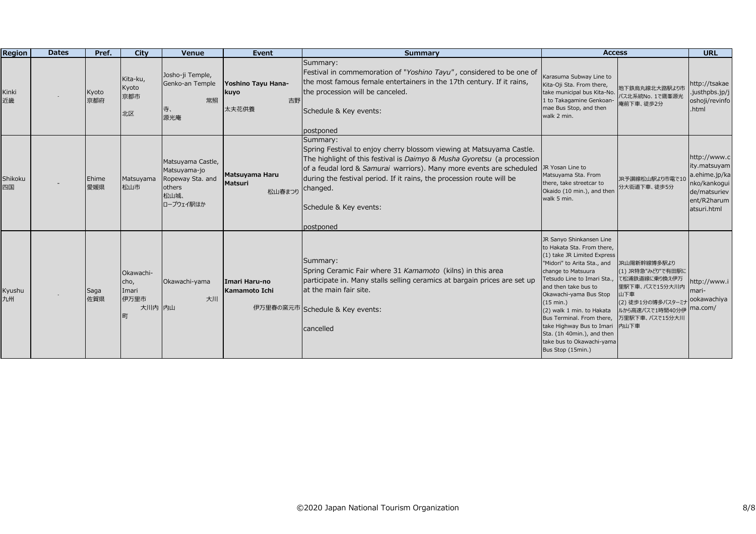| <b>Region</b> | <b>Dates</b> | Pref.        | City                                              | Venue                                                                                | Event                                            | <b>Summary</b>                                                                                                                                                                                                                                                                                                                                                  | <b>Access</b>                                                                                                                                                                                                                                                                                                                                                                                                   |                                                                                                                                                | <b>URL</b>                                                                                                  |
|---------------|--------------|--------------|---------------------------------------------------|--------------------------------------------------------------------------------------|--------------------------------------------------|-----------------------------------------------------------------------------------------------------------------------------------------------------------------------------------------------------------------------------------------------------------------------------------------------------------------------------------------------------------------|-----------------------------------------------------------------------------------------------------------------------------------------------------------------------------------------------------------------------------------------------------------------------------------------------------------------------------------------------------------------------------------------------------------------|------------------------------------------------------------------------------------------------------------------------------------------------|-------------------------------------------------------------------------------------------------------------|
| Kinki<br>近畿   |              | Kyoto<br>京都府 | Kita-ku,<br>Kyoto<br>京都市<br>北区                    | Josho-ji Temple,<br>Genko-an Temple<br>常照<br>恃、<br>源光庵                               | Yoshino Tayu Hana-<br><b>kuyo</b><br>吉野<br>太夫花供養 | Summary:<br>Festival in commemoration of "Yoshino Tayu", considered to be one of<br>the most famous female entertainers in the 17th century. If it rains,<br>the procession will be canceled.<br>Schedule & Key events:<br>postponed                                                                                                                            | Karasuma Subway Line to<br>Kita-Oji Sta. From there,<br>take municipal bus Kita-No.<br>1 to Takagamine Genkoan-<br>mae Bus Stop, and then<br>walk 2 min.                                                                                                                                                                                                                                                        | 地下鉄烏丸線北大路駅より市<br>バス北系統No. 1で鷹峯源光<br>庵前下車、徒歩2分                                                                                                  | http://tsakae<br>justhpbs.jp/j<br>oshoji/revinfo<br>.html                                                   |
| Shikoku<br>四国 |              | Ehime<br>愛媛県 | Matsuyama<br>松山市                                  | Matsuyama Castle,<br>Matsuyama-jo<br>Ropeway Sta. and<br>others<br>松山城、<br>ロープウェイ駅ほか | Matsuyama Haru<br>Matsuri<br>松山春まつり              | Summary:<br>Spring Festival to enjoy cherry blossom viewing at Matsuyama Castle.<br>The highlight of this festival is Daimyo & Musha Gyoretsu (a procession<br>of a feudal lord & Samurai warriors). Many more events are scheduled<br>during the festival period. If it rains, the procession route will be<br>changed.<br>Schedule & Key events:<br>postponed | JR Yosan Line to<br>Matsuyama Sta. From<br>there, take streetcar to<br>Okaido (10 min.), and then<br>walk 5 min.                                                                                                                                                                                                                                                                                                | JR予讃線松山駅より市電で1<br>分大街道下車、徒歩5分                                                                                                                  | http://www.c<br>ity.matsuyam<br>a.ehime.jp/ka<br>nko/kankogui<br>de/matsuriev<br>ent/R2harum<br>atsuri.html |
| Kyushu<br>九州  |              | Saga<br>佐賀県  | Okawachi-<br>cho,<br>Imari<br>伊万里市<br>大川内 内山<br>町 | Okawachi-yama<br>大川                                                                  | Imari Haru-no<br>Kamamoto Ichi                   | Summary:<br>Spring Ceramic Fair where 31 Kamamoto (kilns) in this area<br>participate in. Many stalls selling ceramics at bargain prices are set up<br>at the main fair site.<br>伊万里春の窯元市 Schedule & Key events:<br>cancelled                                                                                                                                   | JR Sanyo Shinkansen Line<br>to Hakata Sta. From there,<br>(1) take JR Limited Express<br>"Midori" to Arita Sta., and<br>change to Matsuura<br>Fetsudo Line to Imari Sta.,<br>and then take bus to<br>Okawachi-yama Bus Stop<br>(15 min.)<br>(2) walk 1 min. to Hakata<br>Bus Terminal. From there,<br>take Highway Bus to Imari<br>Sta. (1h 40min.), and then<br>take bus to Okawachi-yama<br>Bus Stop (15min.) | JR山陽新幹線博多駅より<br>(1) JR特急"みどり"で有田駅に<br>て松浦鉄道線に乗り換え伊万<br>里駅下車、バスで15分大川内<br>山下車<br>(2) 徒歩1分の博多バスターミナ<br>ルから高速バスで1時間40分伊<br>万里駅下車、バスで15分大川<br>内山下車 | http://www.i<br>mari-<br>ookawachiya<br>ma.com/                                                             |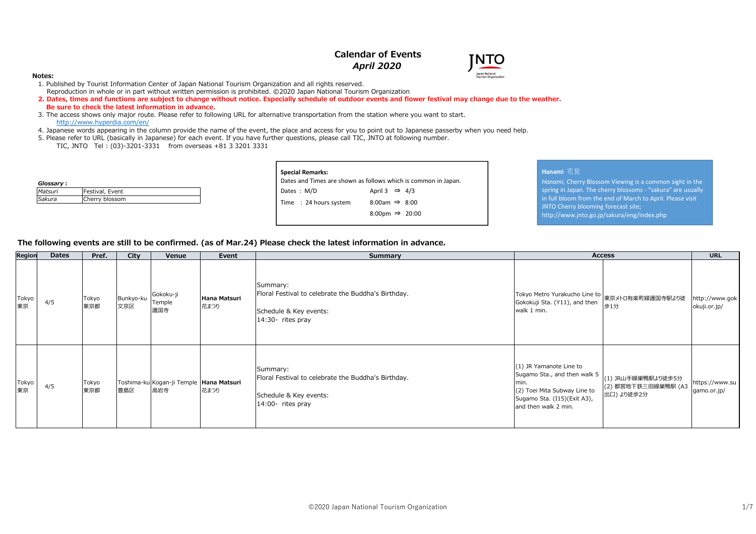## **Calendar of Events***April 2020*



- 1. Published by Tourist Information Center of Japan National Tourism Organization and all rights reserved. Reproduction in whole or in part without written permission is prohibited. ©2020 Japan National Tourism Organization
- **2. Dates, times and functions are subject to change without notice. Especially schedule of outdoor events and flower festival may change due to the weather. Be sure to check the latest information in advance.**
- 3. The access shows only major route. Please refer to following URL for alternative transportation from the station where you want to start.http://www.hyperdia.com/en/
- 4. Japanese words appearing in the column provide the name of the event, the place and access for you to point out to Japanese passerby when you need help.
- 5. Please refer to URL (basically in Japanese) for each event. If you have further questions, please call TIC, JNTO at following number.
	- TIC, JNTO Tel : (03)-3201-3331 from overseas +81 3 3201 3331

| Glossary: |                 |
|-----------|-----------------|
| Matsuri   | Festival, Event |
| Sakura    | Cherry blossom  |

| Special Remarks:<br>Dates and Times are shown as follows which is common in Japan. |                            |  |
|------------------------------------------------------------------------------------|----------------------------|--|
| Dates : M/D                                                                        | April 3 $\Rightarrow$ 4/3  |  |
| Time : 24 hours system                                                             | 8:00am $\Rightarrow$ 8:00  |  |
|                                                                                    | 8:00pm $\Rightarrow$ 20:00 |  |
|                                                                                    |                            |  |

#### **Hanami** 花見

**NTC** 

 *Hanami*, Cherry Blossom Viewing is a common sight in the spring in Japan. The cherry blossoms - "sakura" are usually in full bloom from the end of March to April. Please visit JNTO Cherry blooming forecast site;http://www.jnto.go.jp/sakura/eng/index.php

#### **The following events are still to be confirmed. (as of Mar.24) Please check the latest information in advance.**

| Region      | <b>Dates</b> | Pref.        | City             | Venue                                          | Event                | Summary                                                                                                        |                                                                                                                                                        | <b>Access</b>                                           | <b>URL</b>                     |
|-------------|--------------|--------------|------------------|------------------------------------------------|----------------------|----------------------------------------------------------------------------------------------------------------|--------------------------------------------------------------------------------------------------------------------------------------------------------|---------------------------------------------------------|--------------------------------|
| Tokyo<br>東京 | 4/5          | Tokyo<br>東京都 | Bunkyo-ku<br>文京区 | Gokoku-ji<br>Temple<br>護国寺                     | Hana Matsuri<br>花まつり | Summary:<br>Floral Festival to celebrate the Buddha's Birthday.<br>Schedule & Key events:<br>14:30- rites pray | Tokyo Metro Yurakucho Line to  <br> 東京メトロ有楽町線護国寺駅より徒<br>Gokokuji Sta. (Y11), and then<br>walk 1 min.                                                   | 歩1分                                                     | http://www.gok<br>okuji.or.jp/ |
| Tokyo<br>東京 | 4/5          | Tokyo<br>東京都 | 豊島区              | Toshima-ku Kogan-ji Temple Hana Matsuri<br>高岩寺 | 花まつり                 | Summary:<br>Floral Festival to celebrate the Buddha's Birthday.<br>Schedule & Key events:<br>14:00- rites pray | (1) JR Yamanote Line to<br>Sugamo Sta., and then walk 5<br>min.<br>(2) Toei Mita Subway Line to<br>Sugamo Sta. (I15)(Exit A3),<br>and then walk 2 min. | (1) JR山手線巣鴨駅より徒歩5分<br>(2) 都営地下鉄三田線巣鴨駅 (A3<br>出口) より徒歩2分 | https://www.su<br>gamo.or.jp/  |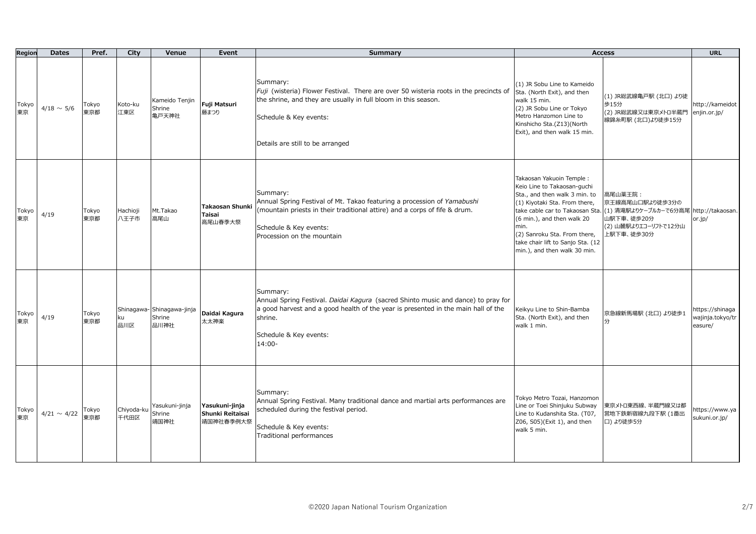| Region      | <b>Dates</b>     | Pref.        | City               | Venue                                       | Event                                              | Summary                                                                                                                                                                                                                              |                                                                                                                                                                                                                                                                                                         | <b>Access</b>                                                                                                           | <b>URL</b>                                     |
|-------------|------------------|--------------|--------------------|---------------------------------------------|----------------------------------------------------|--------------------------------------------------------------------------------------------------------------------------------------------------------------------------------------------------------------------------------------|---------------------------------------------------------------------------------------------------------------------------------------------------------------------------------------------------------------------------------------------------------------------------------------------------------|-------------------------------------------------------------------------------------------------------------------------|------------------------------------------------|
| Tokyo<br>東京 | $4/18 \sim 5/6$  | Tokyo<br>東京都 | Koto-ku<br>江東区     | Kameido Tenjin<br>Shrine<br>亀戸天神社           | Fuji Matsuri<br>藤まつり                               | Summary:<br>Fuji (wisteria) Flower Festival. There are over 50 wisteria roots in the precincts of<br>the shrine, and they are usually in full bloom in this season.<br>Schedule & Key events:<br>Details are still to be arranged    | (1) JR Sobu Line to Kameido<br>Sta. (North Exit), and then<br>walk 15 min.<br>(2) JR Sobu Line or Tokyo<br>Metro Hanzomon Line to<br>Kinshicho Sta.(Z13)(North<br>Exit), and then walk 15 min.                                                                                                          | (1) JR総武線亀戸駅 (北口) より徒<br>歩15分<br>(2) JR総武線又は東京メトロ半蔵門<br>線錦糸町駅 (北口)より徒歩15分                                               | http://kameidot<br>enjin.or.jp/                |
| Tokyo<br>東京 | 4/19             | Tokyo<br>東京都 | Hachioji<br>八王子市   | Mt.Takao<br>高尾山                             | <b>Takaosan Shunki</b><br><b>Taisai</b><br>高尾山春季大祭 | Summary:<br>Annual Spring Festival of Mt. Takao featuring a procession of Yamabushi<br>(mountain priests in their traditional attire) and a corps of fife & drum.<br>Schedule & Key events:<br>Procession on the mountain            | Takaosan Yakuoin Temple:<br>Keio Line to Takaosan-guchi<br>Sta., and then walk 3 min. to<br>(1) Kiyotaki Sta. From there,<br>take cable car to Takaosan Sta.<br>(6 min.), and then walk 20<br>min.<br>(2) Sanroku Sta. From there,<br>take chair lift to Sanjo Sta. (12<br>min.), and then walk 30 min. | 高尾山薬王院:<br>京王線高尾山口駅より徒歩3分の<br>(1) 清滝駅よりケーブルカーで6分高尾 http://takaosan.<br>山駅下車、徒歩20分<br>(2) 山麓駅よりエコーリフトで12分山<br>上駅下車、徒歩30分 | or.jp/                                         |
| Tokyo<br>東京 | 4/19             | Tokyo<br>東京都 | ku<br>品川区          | Shinagawa-Shinagawa-jinja<br>Shrine<br>品川神社 | Daidai Kagura<br>太太神楽                              | Summary:<br>Annual Spring Festival. Daidai Kagura (sacred Shinto music and dance) to pray for<br>a good harvest and a good health of the year is presented in the main hall of the<br>shrine.<br>Schedule & Key events:<br>$14:00 -$ | Keikyu Line to Shin-Bamba<br>Sta. (North Exit), and then<br>walk 1 min.                                                                                                                                                                                                                                 | 京急線新馬場駅 (北口) より徒歩1                                                                                                      | https://shinaga<br>wajinja.tokyo/tr<br>easure/ |
| Tokyo<br>東京 | $4/21 \sim 4/22$ | Tokyo<br>東京都 | Chiyoda-ku<br>千代田区 | Yasukuni-jinja<br>Shrine<br>靖国神社            | Yasukuni-jinja<br>Shunki Reitaisai<br>靖国神社春季例大祭    | Summary:<br>Annual Spring Festival. Many traditional dance and martial arts performances are<br>scheduled during the festival period.<br>Schedule & Key events:<br>Traditional performances                                          | Tokyo Metro Tozai, Hanzomon<br>Line or Toei Shinjuku Subway<br>Line to Kudanshita Sta. (T07,<br>Z06, S05)(Exit 1), and then<br>walk 5 min.                                                                                                                                                              | 東京メトロ東西線、半蔵門線又は都<br>営地下鉄新宿線九段下駅 (1番出<br>口)より徒歩5分                                                                        | https://www.ya<br>sukuni.or.jp/                |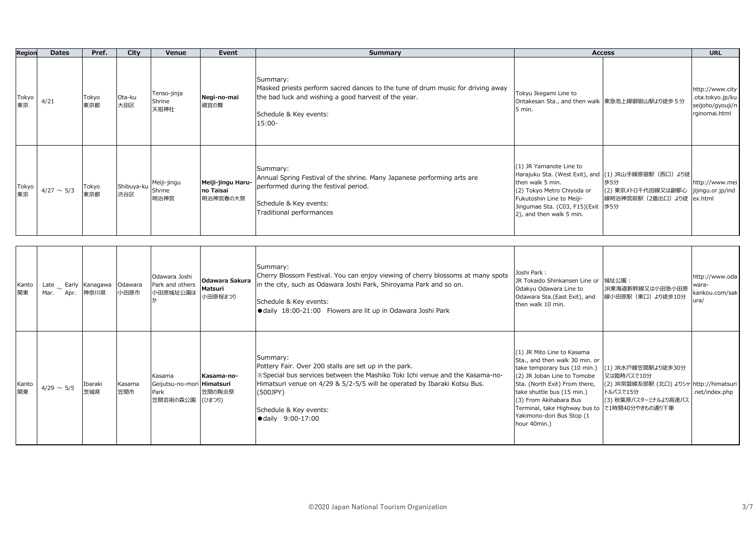| Region      | <b>Dates</b>    | Pref.        | City                     | Venue                         | Event                                      | Summary                                                                                                                                                                                    |                                                                                                                                                                          | <b>Access</b>                                                                                                                            | <b>URL</b>                                                                   |
|-------------|-----------------|--------------|--------------------------|-------------------------------|--------------------------------------------|--------------------------------------------------------------------------------------------------------------------------------------------------------------------------------------------|--------------------------------------------------------------------------------------------------------------------------------------------------------------------------|------------------------------------------------------------------------------------------------------------------------------------------|------------------------------------------------------------------------------|
| Tokyo<br>東京 | 4/21            | Tokyo<br>東京都 | Ota-ku<br>大田区            | Tenso-jinja<br>Shrine<br>天祖神社 | Negi-no-mai<br>禰宜の舞                        | Summary:<br>Masked priests perform sacred dances to the tune of drum music for driving away<br>the bad luck and wishing a good harvest of the year.<br>Schedule & Key events:<br>$15:00 -$ | Tokyu Ikegami Line to<br>Ontakesan Sta., and then walk 東急池上線御嶽山駅より徒歩5分<br>5 min.                                                                                         |                                                                                                                                          | nttp://www.city  <br>.ota.tokyo.jp/ku  <br>seijoho/gyouji/n<br>rginomai.html |
| Tokyo<br>東京 | $4/27 \sim 5/3$ | Tokyo<br>東京都 | Shibuya-ku Shrine<br>渋谷区 | Meiji-jingu<br>明治神宮           | Meiji-jingu Haru-<br>no Taisai<br>明治神宮春の大祭 | Summary:<br>Annual Spring Festival of the shrine. Many Japanese performing arts are<br>performed during the festival period.<br>Schedule & Key events:<br>Traditional performances         | (1) JR Yamanote Line to<br>then walk 5 min.<br>(2) Tokyo Metro Chiyoda or<br>Fukutoshin Line to Meiji-<br>Jingumae Sta. (C03, F15)(Exit  歩5分<br>2), and then walk 5 min. | Harajuku Sta. (West Exit), and (1) JR山手線原宿駅 (西口) より徒<br>歩5分<br>(2) 東京メトロ千代田線又は副都心   jijingu.or.jp/ind  <br> 線明治神宮前駅 (2番出口) より徒   ex.html | http://www.mei                                                               |

| 関東 | Kanto | Mar.            | Late $\sim$ Early Kanagawa Odawara<br>Apr. 神奈川県 | 小田原市          | Odawara Joshi<br>Park and others<br>小田原城址公園ほ             | Odawara Sakura<br>Matsuri<br>小田原桜まつり | Summary:<br>Cherry Blossom Festival. You can enjoy viewing of cherry blossoms at many spots<br>in the city, such as Odawara Joshi Park, Shiroyama Park and so on.<br>Schedule & Key events:<br>· daily 18:00-21:00 Flowers are lit up in Odawara Joshi Park                               | Joshi Park:<br>JR Tokaido Shinkansen Line or 城址公園:<br>Odakyu Odawara Line to<br>Odawara Sta.(East Exit), and<br>then walk 10 min.                                                                                                                                                                                  | JR東海道新幹線又は小田急小田原<br>線小田原駅 (東口) より徒歩10分                                                                           | http://www.oda<br>wara-<br>kankou.com/sak<br>ura/ |
|----|-------|-----------------|-------------------------------------------------|---------------|----------------------------------------------------------|--------------------------------------|-------------------------------------------------------------------------------------------------------------------------------------------------------------------------------------------------------------------------------------------------------------------------------------------|--------------------------------------------------------------------------------------------------------------------------------------------------------------------------------------------------------------------------------------------------------------------------------------------------------------------|------------------------------------------------------------------------------------------------------------------|---------------------------------------------------|
| 関東 | Kanto | $4/29 \sim 5/5$ | Ibaraki<br>茨城県                                  | Kasama<br>笠間市 | Kasama<br>Geijutsu-no-mori Himatsuri<br>Park<br>笠間芸術の森公園 | Kasama-no-<br>笠間の陶炎祭<br>(ひまつり)       | Summary:<br>Pottery Fair. Over 200 stalls are set up in the park.<br>*Special bus services between the Mashiko Toki Ichi venue and the Kasama-no-<br>Himatsuri venue on 4/29 & 5/2-5/5 will be operated by Ibaraki Kotsu Bus.<br>(500JPY)<br>Schedule & Key events:<br>● daily 9:00-17:00 | (1) JR Mito Line to Kasama<br>Sta., and then walk 30 min. or<br>take temporary bus (10 min.)<br>(2) JR Joban Line to Tomobe<br>Sta. (North Exit) From there,<br>take shuttle bus (15 min.)<br>(3) From Akihabara Bus<br>Terminal, take Highway bus to で1時間40分やきもの通り下車<br>Yakimono-dori Bus Stop (1<br>hour 40min.) | (1) JR水戸線笠間駅より徒歩30分<br>又は臨時バスで10分<br>(2) JR常磐線友部駅 (北口) よりシャ http://himatsuri<br>トルバスで15分<br>(3) 秋葉原バスターミナルより高速バス | .net/index.php                                    |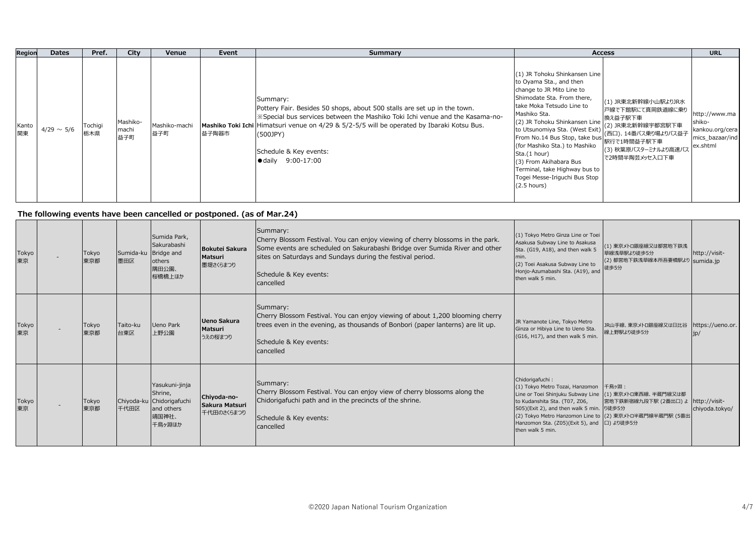| Region      | <b>Dates</b>    | Pref.          | City                     | Venue                | Event | Summary                                                                                                                                                                                                                                                                                                                                           | <b>Access</b>                                                                                                                                                                                                                                                                                                                                                                                                                                                                                                                                                                                         | <b>URL</b>                                                                |
|-------------|-----------------|----------------|--------------------------|----------------------|-------|---------------------------------------------------------------------------------------------------------------------------------------------------------------------------------------------------------------------------------------------------------------------------------------------------------------------------------------------------|-------------------------------------------------------------------------------------------------------------------------------------------------------------------------------------------------------------------------------------------------------------------------------------------------------------------------------------------------------------------------------------------------------------------------------------------------------------------------------------------------------------------------------------------------------------------------------------------------------|---------------------------------------------------------------------------|
| Kanto<br>関東 | $4/29 \sim 5/6$ | Tochigi<br>栃木県 | Mashiko-<br>machi<br>益子町 | Mashiko-machi<br>益子町 | 益子陶器市 | Summary:<br>Pottery Fair. Besides 50 shops, about 500 stalls are set up in the town.<br>  ※ Special bus services between the Mashiko Toki Ichi venue and the Kasama-no-<br>Mashiko Toki Ichi Himatsuri venue on 4/29 & 5/2-5/5 will be operated by Ibaraki Kotsu Bus.<br>$(500$ JPY $)$<br>Schedule & Key events:<br>$\bullet$ daily $9:00-17:00$ | (1) JR Tohoku Shinkansen Line<br>to Oyama Sta., and then<br>change to JR Mito Line to<br>Shimodate Sta. From there,<br>(1) JR東北新幹線小山駅よりJR水<br>take Moka Tetsudo Line to<br>戸線で下館駅にて真岡鉄道線に乗り<br>Mashiko Sta.<br>換え益子駅下車<br>(2) JR Tohoku Shinkansen Line<br>(2) JR東北新幹線宇都宮駅下車<br>to Utsunomiya Sta. (West Exit)<br>(西口)、14番バス乗り場よりバス益子<br>From No.14 Bus Stop, take bus<br>駅行で1時間益子駅下車<br>(for Mashiko Sta.) to Mashiko<br>(3) 秋葉原バスターミナルより高速バス<br>Sta.(1 hour)<br>で2時間半陶芸メッセ入口下車<br>(3) From Akihabara Bus<br>Terminal, take Highway bus to<br>Togei Messe-Iriguchi Bus Stop<br>$(2.5 \text{ hours})$ | http://www.ma<br>shiko-<br>kankou.org/cera<br>mics_bazaar/ind<br>ex.shtml |

## **The following events have been cancelled or postponed. (as of Mar.24)**

| Tokyo<br>東京 | Tokyo<br>東京都 | Sumida-ku Bridge and<br>墨田区 | Sumida Park,<br>Sakurabashi<br>others<br>隅田公園、<br>桜橋橋上ほか                                | <b>Bokutei Sakura</b><br><b>Matsuri</b><br>墨堤さくらまつり | Summary:<br>Cherry Blossom Festival. You can enjoy viewing of cherry blossoms in the park.<br>Some events are scheduled on Sakurabashi Bridge over Sumida River and other<br>sites on Saturdays and Sundays during the festival period.<br>Schedule & Key events:<br>cancelled | (1) Tokyo Metro Ginza Line or Toei<br>Asakusa Subway Line to Asakusa<br>Sta. (G19, A18), and then walk 5<br>Imin.<br>(2) Toei Asakusa Subway Line to<br>Honjo-Azumabashi Sta. (A19), and<br>then walk 5 min.                                                                                                 | (1) 東京メトロ銀座線又は都営地下鉄浅<br>草線浅草駅より徒歩5分<br>(2) 都営地下鉄浅草線本所吾妻橋駅より sumida.jp<br>徒歩5分 | http://visit-                   |
|-------------|--------------|-----------------------------|-----------------------------------------------------------------------------------------|-----------------------------------------------------|--------------------------------------------------------------------------------------------------------------------------------------------------------------------------------------------------------------------------------------------------------------------------------|--------------------------------------------------------------------------------------------------------------------------------------------------------------------------------------------------------------------------------------------------------------------------------------------------------------|-------------------------------------------------------------------------------|---------------------------------|
| Tokyo<br>東京 | Tokyo<br>東京都 | Taito-ku<br>台東区             | <b>Ueno Park</b><br>上野公園                                                                | Ueno Sakura<br>Matsuri<br>うえの桜まつり                   | Summary:<br>Cherry Blossom Festival. You can enjoy viewing of about 1,200 blooming cherry<br>trees even in the evening, as thousands of Bonbori (paper lanterns) are lit up.<br>Schedule & Key events:<br>cancelled                                                            | JR Yamanote Line, Tokyo Metro<br>Ginza or Hibiya Line to Ueno Sta.<br>(G16, H17), and then walk 5 min.                                                                                                                                                                                                       | JR山手線、東京メトロ銀座線又は日比谷<br>線上野駅より徒歩5分                                             | https://ueno.or.<br>1D/         |
| Tokyo<br>東京 | Tokyo<br>東京都 | 千代田区                        | Yasukuni-jinja<br>Shrine,<br>Chiyoda-ku Chidorigafuchi<br>and others<br>靖国神社、<br>千鳥ヶ淵ほか | Chiyoda-no-<br>Sakura Matsuri<br>千代田のさくらまつり         | Summary:<br>Cherry Blossom Festival. You can enjoy view of cherry blossoms along the<br>Chidorigafuchi path and in the precincts of the shrine.<br>Schedule & Key events:<br>cancelled                                                                                         | Chidorigafuchi:<br>(1) Tokyo Metro Tozai, Hanzomon<br>Line or Toei Shinjuku Subway Line (1) 東京メトロ東西線、半蔵門線又は都<br>to Kudanshita Sta. (T07, Z06,<br>S05)(Exit 2), and then walk 5 min. り徒歩5分<br>(2) Tokyo Metro Hanzomon Line to (2) 東京メトロ半蔵門線半蔵門駅 (5番出<br>Hanzomon Sta. (Z05)(Exit 5), and<br>then walk 5 min. | 千鳥ヶ淵:<br>営地下鉄新宿線九段下駅 (2番出口)よ<br>口)より徒歩5分                                      | http://visit-<br>chiyoda.tokyo/ |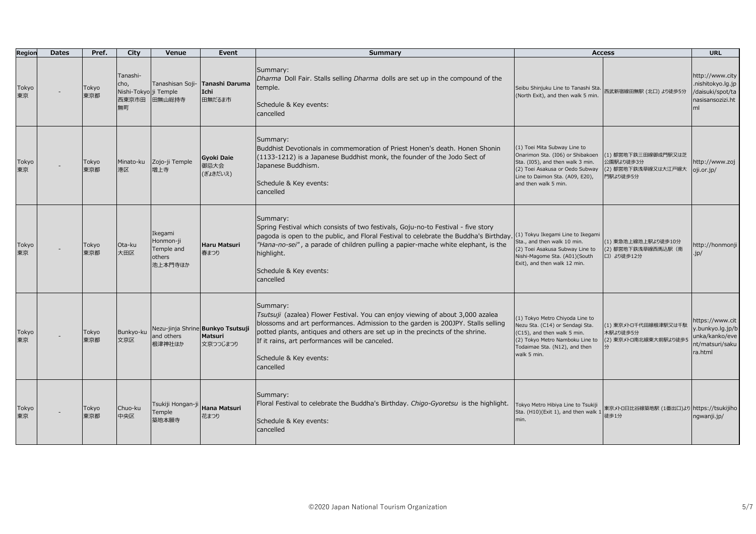| Region      | <b>Dates</b> | Pref.        | City                                                     | Venue                                                   | Event                                                           | <b>Summary</b>                                                                                                                                                                                                                                                                                                                                                     |                                                                                                                                                                                                    | <b>Access</b>                                                       | <b>URL</b>                                                                            |
|-------------|--------------|--------------|----------------------------------------------------------|---------------------------------------------------------|-----------------------------------------------------------------|--------------------------------------------------------------------------------------------------------------------------------------------------------------------------------------------------------------------------------------------------------------------------------------------------------------------------------------------------------------------|----------------------------------------------------------------------------------------------------------------------------------------------------------------------------------------------------|---------------------------------------------------------------------|---------------------------------------------------------------------------------------|
| Tokyo<br>東京 |              | Tokyo<br>東京都 | Tanashi-<br>cho,<br>Nishi-Tokyo ji Temple<br>西東京市田<br>無町 | Tanashisan Soji-<br>田無山総持寺                              | Tanashi Daruma<br>Ichi<br>田無だるま市                                | Summary:<br>Dharma Doll Fair. Stalls selling Dharma dolls are set up in the compound of the<br>temple.<br>Schedule & Key events:<br>cancelled                                                                                                                                                                                                                      | Seibu Shinjuku Line to Tanashi Sta.<br>(North Exit), and then walk 5 min.                                                                                                                          | 西武新宿線田無駅 (北口) より徒歩5分                                                | http://www.city<br>.nishitokyo.lg.jp<br>/daisuki/spot/ta<br>nasisansozizi.ht<br>ml    |
| Tokyo<br>東京 |              | Tokyo<br>東京都 | 港区                                                       | Minato-ku Zojo-ji Temple<br>増上寺                         | <b>Gyoki Daie</b><br>御忌大会<br>(ぎょきだいえ)                           | Summary:<br>Buddhist Devotionals in commemoration of Priest Honen's death. Honen Shonin<br>(1133-1212) is a Japanese Buddhist monk, the founder of the Jodo Sect of<br>Japanese Buddhism.<br>Schedule & Key events:<br>cancelled                                                                                                                                   | (1) Toei Mita Subway Line to<br>Onarimon Sta. (I06) or Shibakoen<br>Sta. (I05), and then walk 3 min.<br>(2) Toei Asakusa or Oedo Subway<br>Line to Daimon Sta. (A09, E20),<br>and then walk 5 min. | (1) 都営地下鉄三田線御成門駅又は芝<br>公園駅より徒歩3分<br>(2) 都営地下鉄浅草線又は大江戸線大<br>門駅より徒歩5分 | http://www.zoj<br>oji.or.jp/                                                          |
| Tokyo<br>東京 |              | Tokyo<br>東京都 | Ota-ku<br>大田区                                            | Ikegami<br>Honmon-ji<br>Temple and<br>others<br>池上本門寺ほか | Haru Matsuri<br>春まつり                                            | Summary:<br>Spring Festival which consists of two festivals, Goju-no-to Festival - five story<br>pagoda is open to the public, and Floral Festival to celebrate the Buddha's Birthday. (1) Tokyu Ikegami Line to Ikegami<br>"Hana-no-sei", a parade of children pulling a papier-mache white elephant, is the<br>highlight.<br>Schedule & Key events:<br>cancelled | Sta., and then walk 10 min.<br>(2) Toei Asakusa Subway Line to<br>Nishi-Magome Sta. (A01)(South<br>Exit), and then walk 12 min.                                                                    | (1) 東急池上線池上駅より徒歩10分<br>(2) 都営地下鉄浅草線西馬込駅 (南<br>口) より徒歩12分            | http://honmonji<br>$\cdot$ jp/                                                        |
| Tokyo<br>東京 |              | Tokyo<br>東京都 | Bunkyo-ku<br>文京区                                         | and others<br>根津神社ほか                                    | Nezu-jinja Shrine Bunkyo Tsutsuji<br><b>Matsuri</b><br>文京つつじまつり | Summary:<br>Tsutsuji (azalea) Flower Festival. You can enjoy viewing of about 3,000 azalea<br>blossoms and art performances. Admission to the garden is 200JPY. Stalls selling<br>potted plants, antiques and others are set up in the precincts of the shrine.<br>If it rains, art performances will be canceled.<br>Schedule & Key events:<br>cancelled          | (1) Tokyo Metro Chiyoda Line to<br>Nezu Sta. (C14) or Sendagi Sta.<br>(C15), and then walk 5 min.<br>(2) Tokyo Metro Namboku Line to<br>Todaimae Sta. (N12), and then<br>walk 5 min.               | (1) 東京メトロ千代田線根津駅又は千駄<br>木駅より徒歩5分<br>(2) 東京メトロ南北線東大前駅より徒歩!           | https://www.cit  <br>y.bunkyo.lg.jp/b<br>unka/kanko/eve<br>nt/matsuri/saku<br>ra.html |
| Tokyo<br>東京 |              | Tokyo<br>東京都 | Chuo-ku<br>中央区                                           | Tsukiji Hongan-ji<br>Temple<br>築地本願寺                    | <b>Hana Matsuri</b><br>花まつり                                     | Summary:<br>Floral Festival to celebrate the Buddha's Birthday. Chigo-Gyoretsu is the highlight.<br>Schedule & Key events:<br>cancelled                                                                                                                                                                                                                            | Tokyo Metro Hibiya Line to Tsukiji<br>Sta. (H10)(Exit 1), and then walk 1<br>min.                                                                                                                  | 東京メトロ日比谷線築地駅 (1番出口)より https://tsukijiho<br>徒歩1分                     | ngwanji.jp/                                                                           |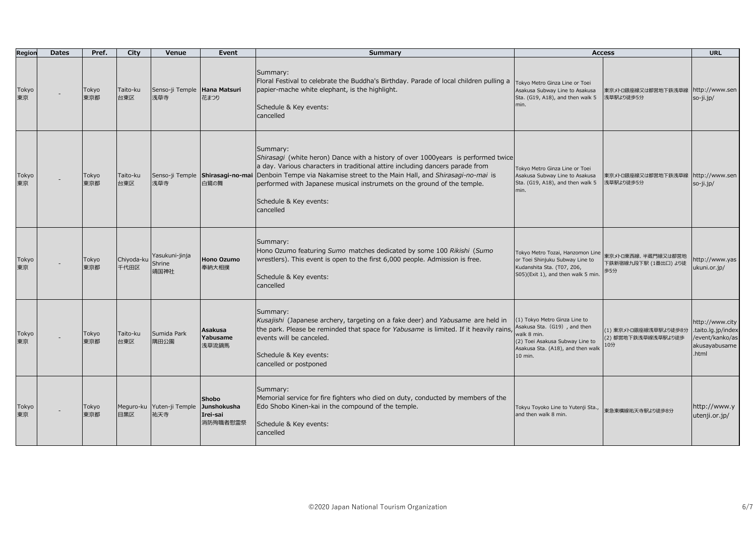| Region      | <b>Dates</b> | Pref.        | City               | Venue                                        | Event                                | <b>Summary</b>                                                                                                                                                                                                                                                                                                                                                                  |                                                                                                                                                                 | <b>Access</b>                                       | <b>URL</b>                                                                        |
|-------------|--------------|--------------|--------------------|----------------------------------------------|--------------------------------------|---------------------------------------------------------------------------------------------------------------------------------------------------------------------------------------------------------------------------------------------------------------------------------------------------------------------------------------------------------------------------------|-----------------------------------------------------------------------------------------------------------------------------------------------------------------|-----------------------------------------------------|-----------------------------------------------------------------------------------|
| Tokyo<br>東京 |              | Tokyo<br>東京都 | Taito-ku<br>台東区    | Senso-ji Temple Hana Matsuri<br>浅草寺          | 花まつり                                 | Summary:<br>Floral Festival to celebrate the Buddha's Birthday. Parade of local children pulling a<br>papier-mache white elephant, is the highlight.<br>Schedule & Key events:<br>cancelled                                                                                                                                                                                     | <b>Tokyo Metro Ginza Line or Toei</b><br>Asakusa Subway Line to Asakusa<br>Sta. (G19, A18), and then walk 5<br>min.                                             | 東京メトロ銀座線又は都営地下鉄浅草線 http://www.sen<br>浅草駅より徒歩5分      | so-ji.jp/                                                                         |
| Tokyo<br>東京 |              | Tokyo<br>東京都 | Taito-ku<br>台東区    | Senso-ji Temple<br>浅草寺                       | Shirasagi-no-mai<br>白鷺の舞             | Summary:<br>Shirasagi (white heron) Dance with a history of over 1000years is performed twice<br>a day. Various characters in traditional attire including dancers parade from<br>Denboin Tempe via Nakamise street to the Main Hall, and Shirasagi-no-mai is<br>performed with Japanese musical instrumets on the ground of the temple.<br>Schedule & Key events:<br>cancelled | Tokyo Metro Ginza Line or Toei<br>Asakusa Subway Line to Asakusa<br>Sta. (G19, A18), and then walk 5<br>min.                                                    | 東京メトロ銀座線又は都営地下鉄浅草線 http://www.sen<br>浅草駅より徒歩5分      | so-ji.jp/                                                                         |
| Tokyo<br>東京 |              | Tokyo<br>東京都 | Chiyoda-ku<br>千代田区 | Yasukuni-jinja<br>Shrine<br>靖国神社             | <b>Hono Ozumo</b><br>奉納大相撲           | Summary:<br>Hono Ozumo featuring Sumo matches dedicated by some 100 Rikishi (Sumo<br>wrestlers). This event is open to the first 6,000 people. Admission is free.<br>Schedule & Key events:<br>cancelled                                                                                                                                                                        | Tokyo Metro Tozai, Hanzomon Line<br>or Toei Shinjuku Subway Line to<br>Kudanshita Sta. (T07, Z06,<br>S05)(Exit 1), and then walk 5 min.                         | 東京メトロ東西線、半蔵門線又は都営地<br>下鉄新宿線九段下駅 (1番出口) より徒<br>歩5分   | http://www.yas<br>ukuni.or.jp/                                                    |
| Tokyo<br>東京 |              | Tokyo<br>東京都 | Taito-ku<br>台東区    | Sumida Park<br>隅田公園                          | Asakusa<br>Yabusame<br>浅草流鏑馬         | Summary:<br>Kusajishi (Japanese archery, targeting on a fake deer) and Yabusame are held in<br>the park. Please be reminded that space for Yabusame is limited. If it heavily rains,<br>events will be canceled.<br>Schedule & Key events:<br>cancelled or postponed                                                                                                            | (1) Tokyo Metro Ginza Line to<br>Asakusa Sta. (G19), and then<br>walk 8 min.<br>(2) Toei Asakusa Subway Line to<br>Asakusa Sta. (A18), and then walk<br>10 min. | (1) 東京メトロ銀座線浅草駅より徒歩8分<br>(2) 都営地下鉄浅草線浅草駅より徒歩<br>10分 | http://www.city<br>.taito.lg.jp/index<br>/event/kanko/as<br>akusayabusame<br>html |
| Tokyo<br>東京 |              | Tokyo<br>東京都 | 目黒区                | Meguro-ku Yuten-ji Temple Junshokusha<br>祐天寺 | <b>Shobo</b><br>Irei-sai<br>消防殉職者慰需祭 | Summary:<br>Memorial service for fire fighters who died on duty, conducted by members of the<br>Edo Shobo Kinen-kai in the compound of the temple.<br>Schedule & Key events:<br>cancelled                                                                                                                                                                                       | Tokyu Toyoko Line to Yutenji Sta.,<br>and then walk 8 min.                                                                                                      | 東急東横線祐天寺駅より徒歩8分                                     | http://www.y<br>utenji.or.jp/                                                     |